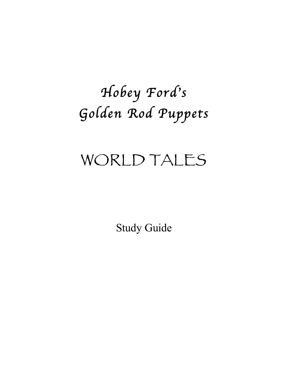# *Hobey Ford*'*s Golden Rod Puppets*

## WORLD TALES

Study Guide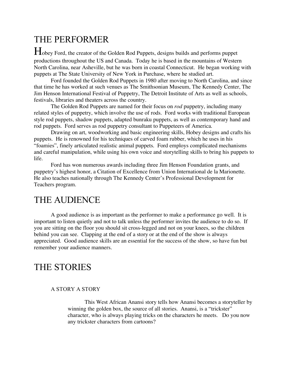## THE PERFORMER

Hobey Ford, the creator of the Golden Rod Puppets, designs builds and performs puppet productions throughout the US and Canada. Today he is based in the mountains of Western North Carolina, near Asheville, but he was born in coastal Connecticut. He began working with puppets at The State University of New York in Purchase, where he studied art.

Ford founded the Golden Rod Puppets in 1980 after moving to North Carolina, and since that time he has worked at such venues as The Smithsonian Museum, The Kennedy Center, The Jim Henson International Festival of Puppetry, The Detroit Institute of Arts as well as schools, festivals, libraries and theaters across the country.

The Golden Rod Puppets are named for their focus on *rod* puppetry, including many related styles of puppetry, which involve the use of rods. Ford works with traditional European style rod puppets, shadow puppets, adapted bunraku puppets, as well as contemporary hand and rod puppets. Ford serves as rod puppetry consultant to Puppeteers of America.

Drawing on art, woodworking and basic engineering skills, Hobey designs and crafts his puppets. He is renowned for his techniques of carved foam rubber, which he uses in his "foamies", finely articulated realistic animal puppets. Ford employs complicated mechanisms and careful manipulation, while using his own voice and storytelling skills to bring his puppets to life.

Ford has won numerous awards including three Jim Henson Foundation grants, and puppetry's highest honor, a Citation of Excellence from Union International de la Marionette. He also teaches nationally through The Kennedy Center's Professional Development for Teachers program.

## THE AUDIENCE

A good audience is as important as the performer to make a performance go well. It is important to listen quietly and not to talk unless the performer invites the audience to do so. If you are sitting on the floor you should sit cross-legged and not on your knees, so the children behind you can see. Clapping at the end of a story or at the end of the show is always appreciated. Good audience skills are an essential for the success of the show, so have fun but remember your audience manners.

## THE STORIES

#### A STORY A STORY

This West African Anansi story tells how Anansi becomes a storyteller by winning the golden box, the source of all stories. Anansi, is a "trickster" character, who is always playing tricks on the characters he meets. Do you now any trickster characters from cartoons?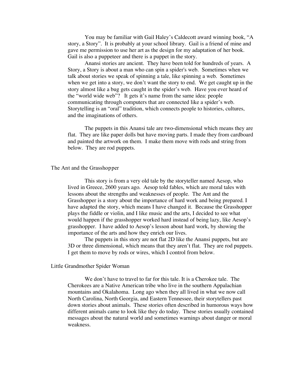You may be familiar with Gail Haley's Caldecott award winning book, "A story, a Story". It is probably at your school library. Gail is a friend of mine and gave me permission to use her art as the design for my adaptation of her book. Gail is also a puppeteer and there is a puppet in the story.

Anansi stories are ancient. They have been told for hundreds of years. A Story, a Story is about a man who can spin a spider's web. Sometimes when we talk about stories we speak of spinning a tale, like spinning a web. Sometimes when we get into a story, we don't want the story to end. We get caught up in the story almost like a bug gets caught in the spider's web. Have you ever heard of the "world wide web"? It gets it's name from the same idea: people communicating through computers that are connected like a spider's web. Storytelling is an "oral" tradition, which connects people to histories, cultures, and the imaginations of others.

The puppets in this Anansi tale are two-dimensional which means they are flat. They are like paper dolls but have moving parts. I made they from cardboard and painted the artwork on them. I make them move with rods and string from below. They are rod puppets.

#### The Ant and the Grasshopper

This story is from a very old tale by the storyteller named Aesop, who lived in Greece, 2600 years ago. Aesop told fables, which are moral tales with lessons about the strengths and weaknesses of people. The Ant and the Grasshopper is a story about the importance of hard work and being prepared. I have adapted the story, which means I have changed it. Because the Grasshopper plays the fiddle or violin, and I like music and the arts, I decided to see what would happen if the grasshopper worked hard instead of being lazy, like Aesop's grasshopper. I have added to Aesop's lesson about hard work, by showing the importance of the arts and how they enrich our lives.

The puppets in this story are not flat 2D like the Anansi puppets, but are 3D or three dimensional, which means that they aren't flat. They are rod puppets. I get them to move by rods or wires, which I control from below.

#### Little Grandmother Spider Woman

We don't have to travel to far for this tale. It is a Cherokee tale. The Cherokees are a Native American tribe who live in the southern Appalachian mountains and Okalahoma. Long ago when they all lived in what we now call North Carolina, North Georgia, and Eastern Tennessee, their storytellers past down stories about animals. These stories often described in humorous ways how different animals came to look like they do today. These stories usually contained messages about the natural world and sometimes warnings about danger or moral weakness.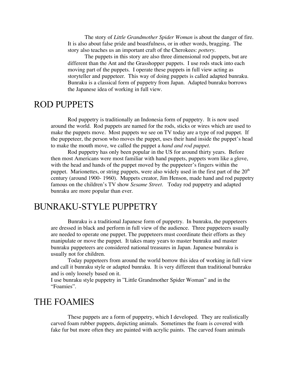The story of *Little Grandmother Spider Woman* is about the danger of fire. It is also about false pride and boastfulness, or in other words, bragging. The story also teaches us an important craft of the Cherokees: *pottery.*

The puppets in this story are also three dimensional rod puppets, but are different than the Ant and the Grasshopper puppets. I use rods stuck into each moving part of the puppets. I operate these puppets in full view acting as storyteller and puppeteer. This way of doing puppets is called adapted bunraku. Bunraku is a classical form of puppetry from Japan. Adapted bunraku borrows the Japanese idea of working in full view.

## ROD PUPPETS

Rod puppetry is traditionally an Indonesia form of puppetry. It is now used around the world. Rod puppets are named for the rods, sticks or wires which are used to make the puppets move. Most puppets we see on TV today are a type of rod puppet. If the puppeteer, the person who moves the puppet, uses their hand inside the puppet's head to make the mouth move, we called the puppet a *hand and rod puppet.*

Rod puppetry has only been popular in the US for around thirty years. Before then most Americans were most familiar with hand puppets, puppets worn like a glove, with the head and hands of the puppet moved by the puppeteer's fingers within the puppet. Marionettes, or string puppets, were also widely used in the first part of the  $20<sup>th</sup>$ century (around 1900- 1960). Muppets creator, Jim Henson, made hand and rod puppetry famous on the children's TV show *Sesame Street*. Today rod puppetry and adapted bunraku are more popular than ever.

## BUNRAKU-STYLE PUPPETRY

Bunraku is a traditional Japanese form of puppetry. In bunraku, the puppeteers are dressed in black and perform in full view of the audience. Three puppeteers usually are needed to operate one puppet. The puppeteers must coordinate their efforts as they manipulate or move the puppet. It takes many years to master bunraku and master bunraku puppeteers are considered national treasures in Japan. Japanese bunraku is usually not for children.

Today puppeteers from around the world borrow this idea of working in full view and call it bunraku style or adapted bunraku. It is very different than traditional bunraku and is only loosely based on it.

I use bunraku style puppetry in "Little Grandmother Spider Woman" and in the "Foamies".

## THE FOAMIES

These puppets are a form of puppetry, which I developed. They are realistically carved foam rubber puppets, depicting animals. Sometimes the foam is covered with fake fur but more often they are painted with acrylic paints. The carved foam animals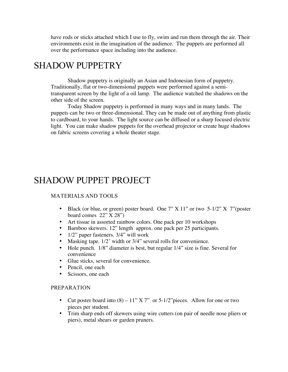have rods or sticks attached which I use to fly, swim and run them through the air. Their environments exist in the imagination of the audience. The puppets are performed all over the performance space including into the audience.

## SHADOW PUPPETRY

Shadow puppetry is originally an Asian and Indonesian form of puppetry. Traditionally, flat or two-dimensional puppets were performed against a semitransparent screen by the light of a oil lamp. The audience watched the shadows on the other side of the screen.

Today Shadow puppetry is performed in many ways and in many lands. The puppets can be two or three-dimensional. They can be made out of anything from plastic to cardboard, to your hands. The light source can be diffused or a sharp focused electric light. You can make shadow puppets for the overhead projector or create huge shadows on fabric screens covering a whole theater stage.

## SHADOW PUPPET PROJECT

#### MATERIALS AND TOOLS

- Black (or blue, or green) poster board. One 7" X 11" or two 5-1/2" X 7" (poster board comes 22" X 28")
- Art tissue in assorted rainbow colors. One pack per 10 workshops<br>• Bamboo skewers, 12" length approx, one pack per 25 participants
- Bamboo skewers. 12" length approx. one pack per 25 participants.
- $1/2$ " paper fasteners.  $3/4$ " will work<br>• Masking tape.  $1/2$ " width or  $3/4$ " sev
- Masking tape. 1/2' width or 3/4" several rolls for convenience.
- Hole punch. 1/8" diameter is best, but regular 1/4" size is fine. Several for convenience
- Glue sticks, several for convenience.
- Pencil, one each
- Scissors, one each

#### PREPARATION

- Cut poster board into  $(8) 11$ " X 7" or 5-1/2" pieces. Allow for one or two pieces per student.
- Trim sharp ends off skewers using wire cutters (on pair of needle nose pliers or piers), metal shears or garden pruners.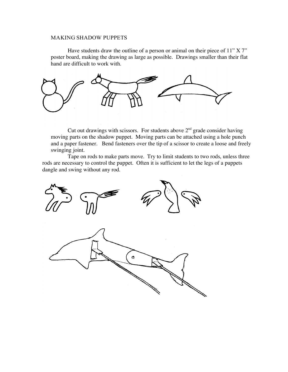#### MAKING SHADOW PUPPETS

Have students draw the outline of a person or animal on their piece of 11" X 7" poster board, making the drawing as large as possible. Drawings smaller than their flat hand are difficult to work with.



Cut out drawings with scissors. For students above  $2<sup>nd</sup>$  grade consider having moving parts on the shadow puppet. Moving parts can be attached using a hole punch and a paper fastener. Bend fasteners over the tip of a scissor to create a loose and freely swinging joint.

Tape on rods to make parts move. Try to limit students to two rods, unless three rods are necessary to control the puppet. Often it is sufficient to let the legs of a puppets dangle and swing without any rod.

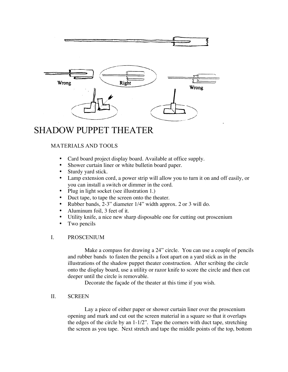



## SHADOW PUPPET THEATER

### MATERIALS AND TOOLS

- Card board project display board. Available at office supply.
- Shower curtain liner or white bulletin board paper.
- Sturdy yard stick.
- Lamp extension cord, a power strip will allow you to turn it on and off easily, or you can install a switch or dimmer in the cord.
- Plug in light socket (see illustration 1.)
- Duct tape, to tape the screen onto the theater.
- Rubber bands, 2-3" diameter 1/4" width approx. 2 or 3 will do.
- Aluminum foil, 3 feet of it.
- Utility knife, a nice new sharp disposable one for cutting out proscenium
- Two pencils

#### I. PROSCENIUM

Make a compass for drawing a 24" circle. You can use a couple of pencils and rubber bands to fasten the pencils a foot apart on a yard stick as in the illustrations of the shadow puppet theater construction. After scribing the circle onto the display board, use a utility or razor knife to score the circle and then cut deeper until the circle is removable.

Decorate the façade of the theater at this time if you wish.

#### II. SCREEN

Lay a piece of either paper or shower curtain liner over the proscenium opening and mark and cut out the screen material in a square so that it overlaps the edges of the circle by an 1-1/2". Tape the corners with duct tape, stretching the screen as you tape. Next stretch and tape the middle points of the top, bottom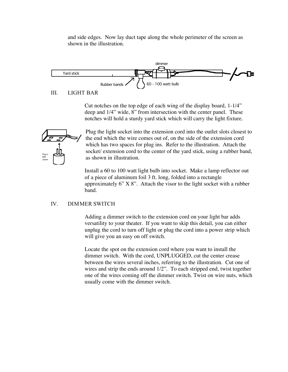and side edges. Now lay duct tape along the whole perimeter of the screen as shown in the illustration.



III. LIGHT BAR

Cut notches on the top edge of each wing of the display board, 1-1/4" deep and 1/4" wide, 8" from intersection with the center panel. These notches will hold a sturdy yard stick which will carry the light fixture.



Plug the light socket into the extension cord into the outlet slots closest to the end which the wire comes out of, on the side of the extension cord which has two spaces for plug ins. Refer to the illustration. Attach the socket/ extension cord to the center of the yard stick, using a rubber band, as shown in illustration.

Install a 60 to 100 watt light bulb into socket. Make a lamp reflector out of a piece of aluminum foil 3 ft. long, folded into a rectangle approximately 6" X 8". Attach the visor to the light socket with a rubber band.

#### IV. DIMMER SWITCH

Adding a dimmer switch to the extension cord on your light bar adds versatility to your theater. If you want to skip this detail, you can either unplug the cord to turn off light or plug the cord into a power strip which will give you an easy on off switch.

Locate the spot on the extension cord where you want to install the dimmer switch. With the cord, UNPLUGGED, cut the center crease between the wires several inches, referring to the illustration. Cut one of wires and strip the ends around 1/2". To each stripped end, twist together one of the wires coming off the dimmer switch. Twist on wire nuts, which usually come with the dimmer switch.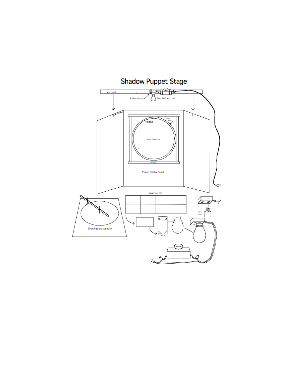